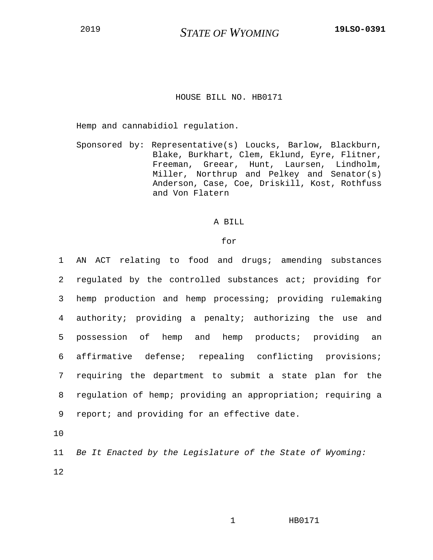## HOUSE BILL NO. HB0171

Hemp and cannabidiol regulation.

Sponsored by: Representative(s) Loucks, Barlow, Blackburn, Blake, Burkhart, Clem, Eklund, Eyre, Flitner, Freeman, Greear, Hunt, Laursen, Lindholm, Miller, Northrup and Pelkey and Senator(s) Anderson, Case, Coe, Driskill, Kost, Rothfuss and Von Flatern

## A BILL

## for

| 1              | AN ACT relating to food and drugs; amending substances      |
|----------------|-------------------------------------------------------------|
| $\overline{2}$ | regulated by the controlled substances act; providing for   |
| 3              | hemp production and hemp processing; providing rulemaking   |
|                | 4 authority; providing a penalty; authorizing the use and   |
| 5              | possession of hemp and hemp products; providing an          |
| 6              | affirmative defense; repealing conflicting provisions;      |
| 7 <sup>7</sup> | requiring the department to submit a state plan for the     |
| 8              | regulation of hemp; providing an appropriation; requiring a |
| 9              | report; and providing for an effective date.                |
| 10             |                                                             |

11 *Be It Enacted by the Legislature of the State of Wyoming:* 12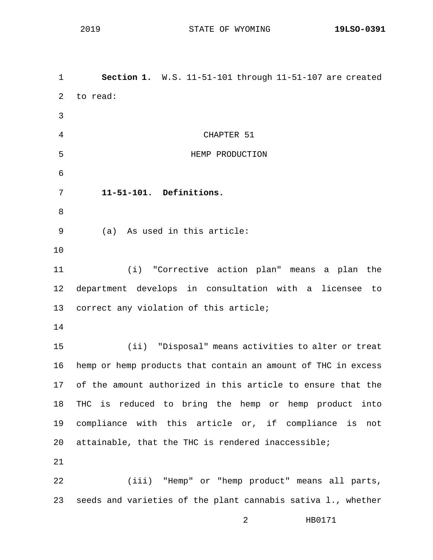1 **Section 1.** W.S. 11-51-101 through 11-51-107 are created 2 to read: 3 4 CHAPTER 51 5 HEMP PRODUCTION 6 7 **11-51-101. Definitions.** 8 9 (a) As used in this article: 10 11 (i) "Corrective action plan" means a plan the 12 department develops in consultation with a licensee to 13 correct any violation of this article; 14 15 (ii) "Disposal" means activities to alter or treat 16 hemp or hemp products that contain an amount of THC in excess 17 of the amount authorized in this article to ensure that the 18 THC is reduced to bring the hemp or hemp product into 19 compliance with this article or, if compliance is not 20 attainable, that the THC is rendered inaccessible; 21 22 (iii) "Hemp" or "hemp product" means all parts, 23 seeds and varieties of the plant cannabis sativa l., whether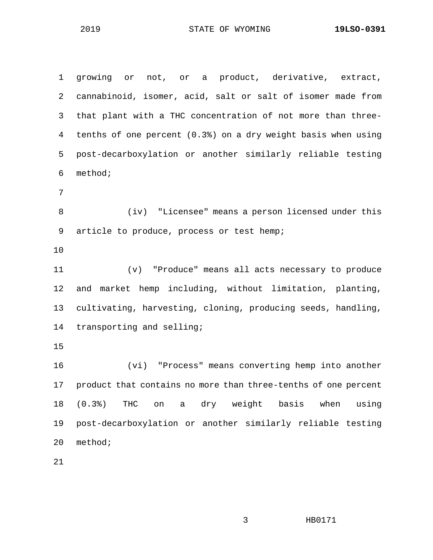1 growing or not, or a product, derivative, extract, 2 cannabinoid, isomer, acid, salt or salt of isomer made from 3 that plant with a THC concentration of not more than three-4 tenths of one percent (0.3%) on a dry weight basis when using 5 post-decarboxylation or another similarly reliable testing 6 method; 7 8 (iv) "Licensee" means a person licensed under this 9 article to produce, process or test hemp; 10 11 (v) "Produce" means all acts necessary to produce 12 and market hemp including, without limitation, planting, 13 cultivating, harvesting, cloning, producing seeds, handling, 14 transporting and selling; 15 16 (vi) "Process" means converting hemp into another 17 product that contains no more than three-tenths of one percent 18 (0.3%) THC on a dry weight basis when using 19 post-decarboxylation or another similarly reliable testing 20 method;

21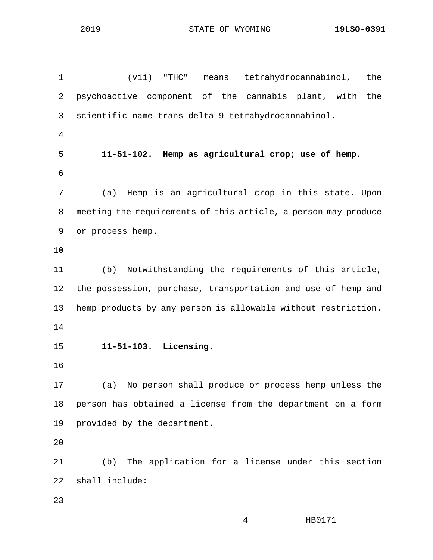1 (vii) "THC" means tetrahydrocannabinol, the 2 psychoactive component of the cannabis plant, with the 3 scientific name trans-delta 9-tetrahydrocannabinol. 4 5 **11-51-102. Hemp as agricultural crop; use of hemp.** 6 7 (a) Hemp is an agricultural crop in this state. Upon 8 meeting the requirements of this article, a person may produce 9 or process hemp. 10 11 (b) Notwithstanding the requirements of this article, 12 the possession, purchase, transportation and use of hemp and 13 hemp products by any person is allowable without restriction. 14 15 **11-51-103. Licensing.** 16 17 (a) No person shall produce or process hemp unless the 18 person has obtained a license from the department on a form 19 provided by the department. 20 21 (b) The application for a license under this section 22 shall include: 23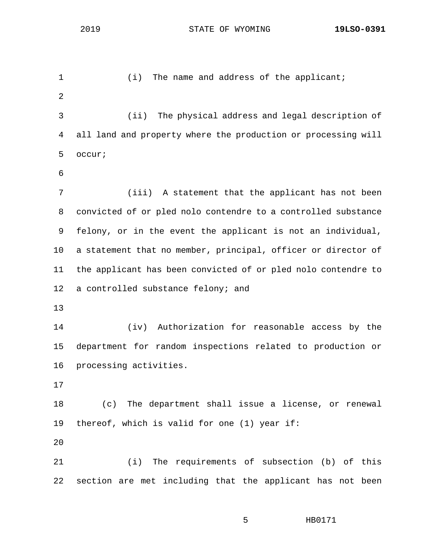1 (i) The name and address of the applicant; 2 3 (ii) The physical address and legal description of 4 all land and property where the production or processing will 5 occur; 6 7 (iii) A statement that the applicant has not been 8 convicted of or pled nolo contendre to a controlled substance 9 felony, or in the event the applicant is not an individual, 10 a statement that no member, principal, officer or director of 11 the applicant has been convicted of or pled nolo contendre to 12 a controlled substance felony; and 13 14 (iv) Authorization for reasonable access by the 15 department for random inspections related to production or 16 processing activities. 17 18 (c) The department shall issue a license, or renewal 19 thereof, which is valid for one (1) year if: 20 21 (i) The requirements of subsection (b) of this 22 section are met including that the applicant has not been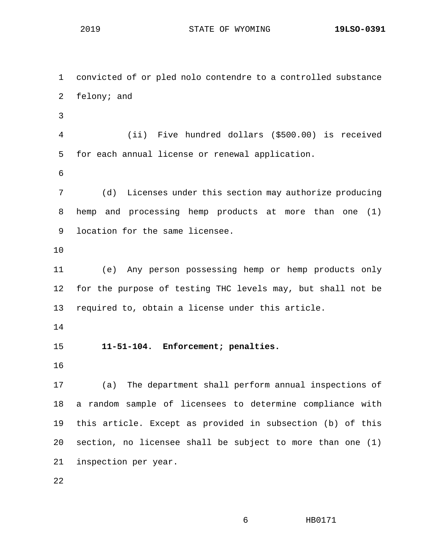1 convicted of or pled nolo contendre to a controlled substance 2 felony; and 3 4 (ii) Five hundred dollars (\$500.00) is received 5 for each annual license or renewal application. 6 7 (d) Licenses under this section may authorize producing 8 hemp and processing hemp products at more than one (1) 9 location for the same licensee. 10 11 (e) Any person possessing hemp or hemp products only 12 for the purpose of testing THC levels may, but shall not be 13 required to, obtain a license under this article. 14 15 **11-51-104. Enforcement; penalties.** 16 17 (a) The department shall perform annual inspections of 18 a random sample of licensees to determine compliance with 19 this article. Except as provided in subsection (b) of this 20 section, no licensee shall be subject to more than one (1) 21 inspection per year. 22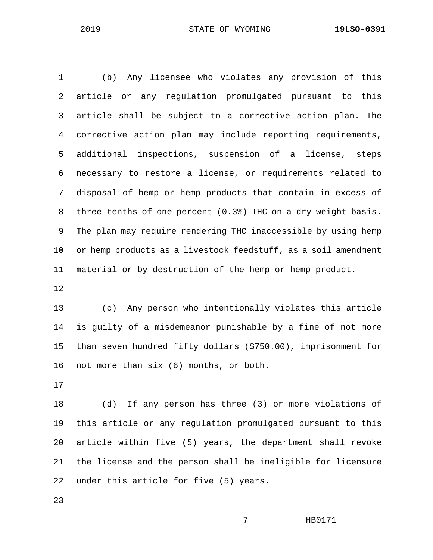1 (b) Any licensee who violates any provision of this 2 article or any regulation promulgated pursuant to this 3 article shall be subject to a corrective action plan. The 4 corrective action plan may include reporting requirements, 5 additional inspections, suspension of a license, steps 6 necessary to restore a license, or requirements related to 7 disposal of hemp or hemp products that contain in excess of 8 three-tenths of one percent (0.3%) THC on a dry weight basis. 9 The plan may require rendering THC inaccessible by using hemp 10 or hemp products as a livestock feedstuff, as a soil amendment 11 material or by destruction of the hemp or hemp product.

12

13 (c) Any person who intentionally violates this article 14 is guilty of a misdemeanor punishable by a fine of not more 15 than seven hundred fifty dollars (\$750.00), imprisonment for 16 not more than six (6) months, or both.

17

18 (d) If any person has three (3) or more violations of 19 this article or any regulation promulgated pursuant to this 20 article within five (5) years, the department shall revoke 21 the license and the person shall be ineligible for licensure 22 under this article for five (5) years.

23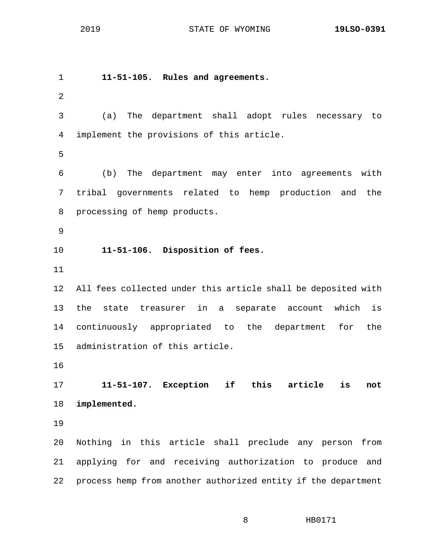1 **11-51-105. Rules and agreements.** 2 3 (a) The department shall adopt rules necessary to 4 implement the provisions of this article. 5 6 (b) The department may enter into agreements with 7 tribal governments related to hemp production and the 8 processing of hemp products. 9 10 **11-51-106. Disposition of fees.** 11 12 All fees collected under this article shall be deposited with 13 the state treasurer in a separate account which is 14 continuously appropriated to the department for the 15 administration of this article. 16 17 **11-51-107. Exception if this article is not**  18 **implemented.** 19 20 Nothing in this article shall preclude any person from 21 applying for and receiving authorization to produce and 22 process hemp from another authorized entity if the department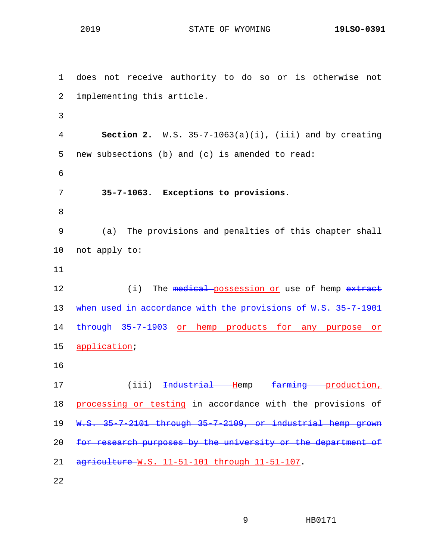1 does not receive authority to do so or is otherwise not 2 implementing this article. 3 4 **Section 2.** W.S. 35-7-1063(a)(i), (iii) and by creating 5 new subsections (b) and (c) is amended to read: 6 7 **35-7-1063. Exceptions to provisions.** 8 9 (a) The provisions and penalties of this chapter shall 10 not apply to: 11 12 (i) The medical possession or use of hemp extract 13 when used in accordance with the provisions of W.S. 35-7-1901 14 through 35-7-1903 or hemp products for any purpose or 15 application; 16 17 (iii) <del>Industrial H</del>emp farming production, 18 processing or testing in accordance with the provisions of 19 W.S. 35-7-2101 through 35-7-2109, or industrial hemp grown 20 for research purposes by the university or the department of 21 agriculture W.S. 11-51-101 through 11-51-107. 22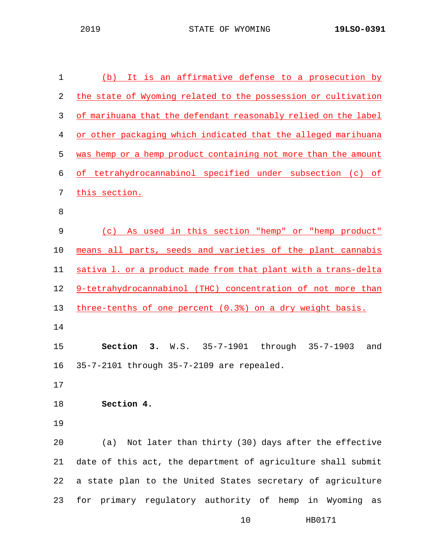| $\mathbf 1$ | It is an affirmative defense to a prosecution by<br>(b)        |
|-------------|----------------------------------------------------------------|
| 2           | the state of Wyoming related to the possession or cultivation  |
| 3           | of marihuana that the defendant reasonably relied on the label |
| 4           | or other packaging which indicated that the alleged marihuana  |
| 5           | was hemp or a hemp product containing not more than the amount |
| 6           | of tetrahydrocannabinol specified under subsection (c) of      |
| 7           | this section.                                                  |
| 8           |                                                                |
| 9           | As used in this section "hemp" or "hemp product"<br>(c)        |
| 10          | means all parts, seeds and varieties of the plant cannabis     |
| 11          | sativa 1. or a product made from that plant with a trans-delta |
| 12          | 9-tetrahydrocannabinol (THC) concentration of not more than    |
| 13          | three-tenths of one percent (0.3%) on a dry weight basis.      |
| 14          |                                                                |
| 15          | Section<br>through 35-7-1903<br>3.<br>$W.S. 35-7-1901$<br>and  |
| 16          | 35-7-2101 through 35-7-2109 are repealed.                      |
| 17          |                                                                |
| 18          | Section 4.                                                     |
| 19          |                                                                |
| 20          | (a) Not later than thirty (30) days after the effective        |
| 21          | date of this act, the department of agriculture shall submit   |
| 22          | a state plan to the United States secretary of agriculture     |
| 23          | for primary regulatory authority of hemp in Wyoming<br>as      |
|             |                                                                |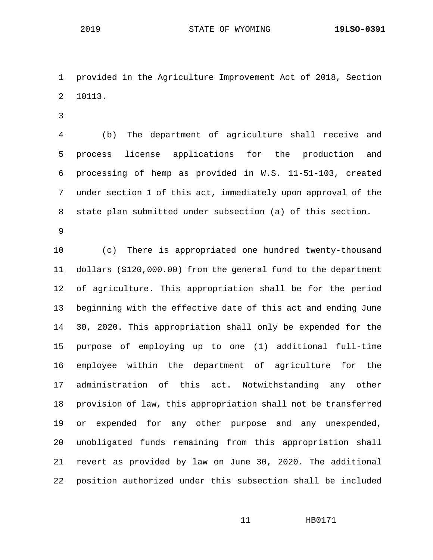1 provided in the Agriculture Improvement Act of 2018, Section 2 10113.

3

4 (b) The department of agriculture shall receive and 5 process license applications for the production and 6 processing of hemp as provided in W.S. 11-51-103, created 7 under section 1 of this act, immediately upon approval of the 8 state plan submitted under subsection (a) of this section.

9

10 (c) There is appropriated one hundred twenty-thousand 11 dollars (\$120,000.00) from the general fund to the department 12 of agriculture. This appropriation shall be for the period 13 beginning with the effective date of this act and ending June 14 30, 2020. This appropriation shall only be expended for the 15 purpose of employing up to one (1) additional full-time 16 employee within the department of agriculture for the 17 administration of this act. Notwithstanding any other 18 provision of law, this appropriation shall not be transferred 19 or expended for any other purpose and any unexpended, 20 unobligated funds remaining from this appropriation shall 21 revert as provided by law on June 30, 2020. The additional 22 position authorized under this subsection shall be included